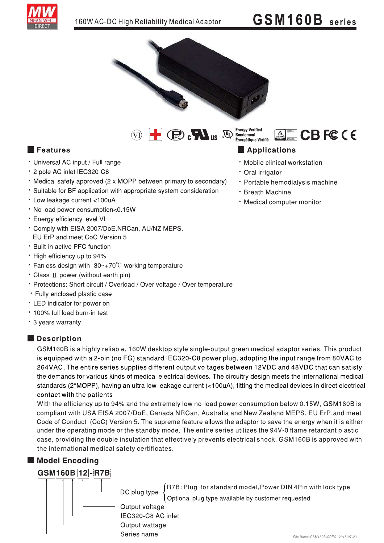

## **GSM160B** series



 $\circledR$  ,  $\blacksquare$ 

- Universal AC input / Full range
- 2 pole AC inlet IEC320-C8
- Medical safety approved (2 x MOPP between primary to secondary)
- · Suitable for BF application with appropriate system consideration
- Low leakage current <100uA
- No load power consumption<0.15W
- \* Energy efficiency level VI
- Comply with EISA 2007/DoE, NRCan, AU/NZ MEPS, EU ErP and meet CoC Version 5
- $\cdot$  Built-in active PFC function
- $\cdot$  High efficiency up to 94%
- Fanless design with -30~+70<sup>°</sup>C working temperature
- $\cdot$  Class II power (without earth pin)
- Protections: Short circuit / Overload / Over voltage / Over temperature
- Fully enclosed plastic case
- LED indicator for power on
- $\cdot$  100% full load burn-in test
- \* 3 years warranty

#### Description

GSM160B is a highly reliable, 160W desktop style single-output green medical adaptor series. This product is equipped with a 2-pin (no FG) standard IEC320-C8 power plug, adopting the input range from 80VAC to 264VAC. The entire series supplies different output voltages between 12VDC and 48VDC that can satisfy the demands for various kinds of medical electrical devices. The circuitry design meets the international medical standards (2\*MOPP), having an ultra low leakage current (<100uA), fitting the medical devices in direct electrical contact with the patients.

With the efficiency up to 94% and the extremely low no-load power consumption below 0.15W, GSM160B is compliant with USA EISA 2007/DoE, Canada NRCan, Australia and New Zealand MEPS, EU ErP, and meet under the operating mode or the standby mode. The entire series utilizes the 94V-0 flame retardant plastic case, providing the double insulation that effectively prevents electrical shock. GSM160B is approved with Code of Conduct (CoC) Version 5. The supreme feature allows the adaptor to save the energy when it is either under the operating mode or the standby mode. The entire series utilizes the 94V-0 flame retardant plastic case,

#### $\blacksquare$  Model Encoding

# With the efficiency up to 94% and the exempliant with USA EISA 2007/DoE, Ca<br>
Code of Conduct (CoC) Version 5. The s<br>
under the operating mode or the standb<br>
case, providing the double insulation th<br>
the international medic Output voltage<br>IEC320-C8 AC inlet<br>Output wattage<br>Series name **GSM160B** 12-R7B DC plug type  $\begin{cases} R7B:$  Plug for standard model, Power DIN 4Pin with lock type  $\begin{cases}$  Optional plug type available by customer requested

Rendement<br>Énergétique Vérifié

**Energy Verified** 

#### **Example 2018** Features **Contract Contract Contract Contract Contract Contract Contract Contract Contract Contract Contract Contract Contract Contract Contract Contract Contract Contract Contract Contract Contract Contract**

- · Mobile clinical workstation
- . Oral irrigator
- Portable hemodialysis machine

8g201-1

- Breath Machine
- · Medical computer monitor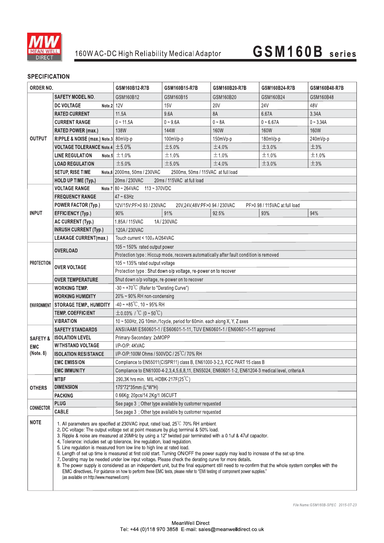

## GSM160B series

#### **SPECIFICATION**

| ORDER NO.           |                                                                                                                                                                                                                                                                                                                                                                                                                                                                                                                                                                                                                                                                                                                                                                                                                                                                                                                                                                                                                                                 | GSM160B12-R7B                                                                                     | GSM160B15-R7B | GSM160B20-R7B | GSM160B24-R7B | GSM160B48-R7B |  |
|---------------------|-------------------------------------------------------------------------------------------------------------------------------------------------------------------------------------------------------------------------------------------------------------------------------------------------------------------------------------------------------------------------------------------------------------------------------------------------------------------------------------------------------------------------------------------------------------------------------------------------------------------------------------------------------------------------------------------------------------------------------------------------------------------------------------------------------------------------------------------------------------------------------------------------------------------------------------------------------------------------------------------------------------------------------------------------|---------------------------------------------------------------------------------------------------|---------------|---------------|---------------|---------------|--|
|                     | <b>SAFETY MODEL NO.</b>                                                                                                                                                                                                                                                                                                                                                                                                                                                                                                                                                                                                                                                                                                                                                                                                                                                                                                                                                                                                                         | GSM160B12                                                                                         | GSM160B15     | GSM160B20     | GSM160B24     | GSM160B48     |  |
| <b>OUTPUT</b>       | <b>DC VOLTAGE</b><br>Note.2 12V                                                                                                                                                                                                                                                                                                                                                                                                                                                                                                                                                                                                                                                                                                                                                                                                                                                                                                                                                                                                                 |                                                                                                   | 15V           | <b>20V</b>    | 24V           | 48V           |  |
|                     | <b>RATED CURRENT</b>                                                                                                                                                                                                                                                                                                                                                                                                                                                                                                                                                                                                                                                                                                                                                                                                                                                                                                                                                                                                                            | 11.5A                                                                                             | 9.6A          | 8A            | 6.67A         | 3.34A         |  |
|                     | <b>CURRENT RANGE</b>                                                                                                                                                                                                                                                                                                                                                                                                                                                                                                                                                                                                                                                                                                                                                                                                                                                                                                                                                                                                                            | $0 - 11.5A$                                                                                       | $0 - 9.6A$    | $0 - 8A$      | $0 - 6.67A$   | $0 - 3.34A$   |  |
|                     | RATED POWER (max.)                                                                                                                                                                                                                                                                                                                                                                                                                                                                                                                                                                                                                                                                                                                                                                                                                                                                                                                                                                                                                              | <b>138W</b>                                                                                       | 144W          | 160W          | 160W          | 160W          |  |
|                     | RIPPLE & NOISE (max.) Note.3 80mVp-p                                                                                                                                                                                                                                                                                                                                                                                                                                                                                                                                                                                                                                                                                                                                                                                                                                                                                                                                                                                                            |                                                                                                   | 100mVp-p      | 150mVp-p      | 180mVp-p      | 240mVp-p      |  |
|                     | <b>VOLTAGE TOLERANCE Note.4</b> $\pm$ 5.0%                                                                                                                                                                                                                                                                                                                                                                                                                                                                                                                                                                                                                                                                                                                                                                                                                                                                                                                                                                                                      |                                                                                                   | ±5.0%         | ±4.0%         | ±3.0%         | ±3%           |  |
|                     | <b>LINE REGULATION</b>                                                                                                                                                                                                                                                                                                                                                                                                                                                                                                                                                                                                                                                                                                                                                                                                                                                                                                                                                                                                                          | Note.5 $\pm$ 1.0%                                                                                 | ±1.0%         | ±1.0%         | ±1.0%         | ±1.0%         |  |
|                     | <b>LOAD REGULATION</b>                                                                                                                                                                                                                                                                                                                                                                                                                                                                                                                                                                                                                                                                                                                                                                                                                                                                                                                                                                                                                          | ±5.0%                                                                                             | ±5.0%         | ±4.0%         | ±3.0%         | ±3%           |  |
|                     | <b>SETUP, RISE TIME</b>                                                                                                                                                                                                                                                                                                                                                                                                                                                                                                                                                                                                                                                                                                                                                                                                                                                                                                                                                                                                                         | Note.6 2000ms, 50ms / 230VAC<br>2500ms, 50ms / 115VAC at full load                                |               |               |               |               |  |
|                     | HOLD UP TIME (Typ.)                                                                                                                                                                                                                                                                                                                                                                                                                                                                                                                                                                                                                                                                                                                                                                                                                                                                                                                                                                                                                             | 20ms / 230VAC<br>20ms / 115VAC at full load                                                       |               |               |               |               |  |
|                     | <b>VOLTAGE RANGE</b>                                                                                                                                                                                                                                                                                                                                                                                                                                                                                                                                                                                                                                                                                                                                                                                                                                                                                                                                                                                                                            | Note.7 80 ~ 264VAC 113 ~ 370VDC                                                                   |               |               |               |               |  |
| <b>INPUT</b>        | <b>FREQUENCY RANGE</b>                                                                                                                                                                                                                                                                                                                                                                                                                                                                                                                                                                                                                                                                                                                                                                                                                                                                                                                                                                                                                          | $47 \sim 63$ Hz                                                                                   |               |               |               |               |  |
|                     | <b>POWER FACTOR (Typ.)</b>                                                                                                                                                                                                                                                                                                                                                                                                                                                                                                                                                                                                                                                                                                                                                                                                                                                                                                                                                                                                                      | 12V/15V:PF>0.93 / 230VAC<br>20V,24V,48V:PF>0.94 / 230VAC<br>PF>0.98 / 115VAC at full load         |               |               |               |               |  |
|                     | <b>EFFICIENCY (Typ.)</b>                                                                                                                                                                                                                                                                                                                                                                                                                                                                                                                                                                                                                                                                                                                                                                                                                                                                                                                                                                                                                        | 90%                                                                                               | 91%           | 92.5%         | 93%           | 94%           |  |
|                     | AC CURRENT (Typ.)                                                                                                                                                                                                                                                                                                                                                                                                                                                                                                                                                                                                                                                                                                                                                                                                                                                                                                                                                                                                                               | 1.85A / 115VAC<br>1A/230VAC                                                                       |               |               |               |               |  |
|                     | <b>INRUSH CURRENT (Typ.)</b>                                                                                                                                                                                                                                                                                                                                                                                                                                                                                                                                                                                                                                                                                                                                                                                                                                                                                                                                                                                                                    | 120A/230VAC                                                                                       |               |               |               |               |  |
|                     | <b>LEAKAGE CURRENT(max.)</b>                                                                                                                                                                                                                                                                                                                                                                                                                                                                                                                                                                                                                                                                                                                                                                                                                                                                                                                                                                                                                    | Touch current < 100 µ A/264VAC                                                                    |               |               |               |               |  |
| <b>PROTECTION</b>   | <b>OVERLOAD</b>                                                                                                                                                                                                                                                                                                                                                                                                                                                                                                                                                                                                                                                                                                                                                                                                                                                                                                                                                                                                                                 | 105 ~ 150% rated output power                                                                     |               |               |               |               |  |
|                     |                                                                                                                                                                                                                                                                                                                                                                                                                                                                                                                                                                                                                                                                                                                                                                                                                                                                                                                                                                                                                                                 | Protection type : Hiccup mode, recovers automatically after fault condition is removed            |               |               |               |               |  |
|                     | <b>OVER VOLTAGE</b>                                                                                                                                                                                                                                                                                                                                                                                                                                                                                                                                                                                                                                                                                                                                                                                                                                                                                                                                                                                                                             | 105 ~ 135% rated output voltage                                                                   |               |               |               |               |  |
|                     |                                                                                                                                                                                                                                                                                                                                                                                                                                                                                                                                                                                                                                                                                                                                                                                                                                                                                                                                                                                                                                                 | Protection type : Shut down o/p voltage, re-power on to recover                                   |               |               |               |               |  |
|                     | <b>OVER TEMPERATURE</b>                                                                                                                                                                                                                                                                                                                                                                                                                                                                                                                                                                                                                                                                                                                                                                                                                                                                                                                                                                                                                         | Shut down o/p voltage, re-power on to recover                                                     |               |               |               |               |  |
|                     | <b>WORKING TEMP.</b>                                                                                                                                                                                                                                                                                                                                                                                                                                                                                                                                                                                                                                                                                                                                                                                                                                                                                                                                                                                                                            | -30 ~ +70°C (Refer to "Derating Curve")                                                           |               |               |               |               |  |
|                     | <b>WORKING HUMIDITY</b>                                                                                                                                                                                                                                                                                                                                                                                                                                                                                                                                                                                                                                                                                                                                                                                                                                                                                                                                                                                                                         | 20% ~ 90% RH non-condensing                                                                       |               |               |               |               |  |
|                     | ENVIRONMENT   STORAGE TEMP., HUMIDITY                                                                                                                                                                                                                                                                                                                                                                                                                                                                                                                                                                                                                                                                                                                                                                                                                                                                                                                                                                                                           | $-40 \sim +85^{\circ}$ C, 10 ~ 95% RH                                                             |               |               |               |               |  |
|                     | <b>TEMP. COEFFICIENT</b>                                                                                                                                                                                                                                                                                                                                                                                                                                                                                                                                                                                                                                                                                                                                                                                                                                                                                                                                                                                                                        | $\pm$ 0.03% / °C (0 ~ 50°C)                                                                       |               |               |               |               |  |
|                     | VIBRATION                                                                                                                                                                                                                                                                                                                                                                                                                                                                                                                                                                                                                                                                                                                                                                                                                                                                                                                                                                                                                                       | 10 ~ 500Hz, 2G 10min./1cycle, period for 60min. each along X, Y, Z axes                           |               |               |               |               |  |
|                     | <b>SAFETY STANDARDS</b>                                                                                                                                                                                                                                                                                                                                                                                                                                                                                                                                                                                                                                                                                                                                                                                                                                                                                                                                                                                                                         | ANSI/AAMI ES60601-1 / ES60601-1-11, TUV EN60601-1 / EN60601-1-11 approved                         |               |               |               |               |  |
| <b>SAFETY &amp;</b> | <b>ISOLATION LEVEL</b>                                                                                                                                                                                                                                                                                                                                                                                                                                                                                                                                                                                                                                                                                                                                                                                                                                                                                                                                                                                                                          | Primary-Secondary: 2xMOPP                                                                         |               |               |               |               |  |
| <b>EMC</b>          | <b>WITHSTAND VOLTAGE</b>                                                                                                                                                                                                                                                                                                                                                                                                                                                                                                                                                                                                                                                                                                                                                                                                                                                                                                                                                                                                                        | I/P-O/P: 4KVAC                                                                                    |               |               |               |               |  |
| (Note. 8)           | <b>ISOLATION RESISTANCE</b>                                                                                                                                                                                                                                                                                                                                                                                                                                                                                                                                                                                                                                                                                                                                                                                                                                                                                                                                                                                                                     | I/P-O/P:100M Ohms / 500VDC / 25°C / 70% RH                                                        |               |               |               |               |  |
|                     | <b>EMC EMISSION</b>                                                                                                                                                                                                                                                                                                                                                                                                                                                                                                                                                                                                                                                                                                                                                                                                                                                                                                                                                                                                                             | Compliance to EN55011(CISPR11) class B, EN61000-3-2,3, FCC PART 15 class B                        |               |               |               |               |  |
|                     | <b>EMC IMMUNITY</b>                                                                                                                                                                                                                                                                                                                                                                                                                                                                                                                                                                                                                                                                                                                                                                                                                                                                                                                                                                                                                             | Compliance to EN61000-4-2,3,4,5,6,8,11, EN55024, EN60601-1-2, EN61204-3 medical level, criteria A |               |               |               |               |  |
| <b>OTHERS</b>       | <b>MTBF</b>                                                                                                                                                                                                                                                                                                                                                                                                                                                                                                                                                                                                                                                                                                                                                                                                                                                                                                                                                                                                                                     | 290.3K hrs min. MIL-HDBK-217F(25°C)                                                               |               |               |               |               |  |
|                     | <b>DIMENSION</b>                                                                                                                                                                                                                                                                                                                                                                                                                                                                                                                                                                                                                                                                                                                                                                                                                                                                                                                                                                                                                                | 175*72*35mm (L*W*H)                                                                               |               |               |               |               |  |
|                     | <b>PACKING</b>                                                                                                                                                                                                                                                                                                                                                                                                                                                                                                                                                                                                                                                                                                                                                                                                                                                                                                                                                                                                                                  | 0.66Kg; 20pcs/14.2Kg/1.06CUFT                                                                     |               |               |               |               |  |
| CONNECTOR           | <b>PLUG</b>                                                                                                                                                                                                                                                                                                                                                                                                                                                                                                                                                                                                                                                                                                                                                                                                                                                                                                                                                                                                                                     | See page 3 ; Other type available by customer requested                                           |               |               |               |               |  |
|                     | <b>CABLE</b>                                                                                                                                                                                                                                                                                                                                                                                                                                                                                                                                                                                                                                                                                                                                                                                                                                                                                                                                                                                                                                    | See page 3 ; Other type available by customer requested                                           |               |               |               |               |  |
| <b>NOTE</b>         | 1. All parameters are specified at 230VAC input, rated load, 25 <sup>°</sup> C 70% RH ambient.<br>2. DC voltage: The output voltage set at point measure by plug terminal & 50% load.<br>3. Ripple & noise are measured at 20MHz by using a 12" twisted pair terminated with a 0.1uf & 47uf capacitor.<br>4. Tolerance: includes set up tolerance, line regulation, load regulation.<br>5. Line regulation is measured from low line to high line at rated load.<br>6. Length of set up time is measured at first cold start. Turning ON/OFF the power supply may lead to increase of the set up time.<br>7. Derating may be needed under low input voltage. Please check the derating curve for more details.<br>8. The power supply is considered as an independent unit, but the final equipment still need to re-confirm that the whole system complies with the<br>EMC directives. For guidance on how to perform these EMC tests, please refer to "EMI testing of component power supplies."<br>(as available on http://www.meanwell.com) |                                                                                                   |               |               |               |               |  |

 $\overline{\phantom{a}}$